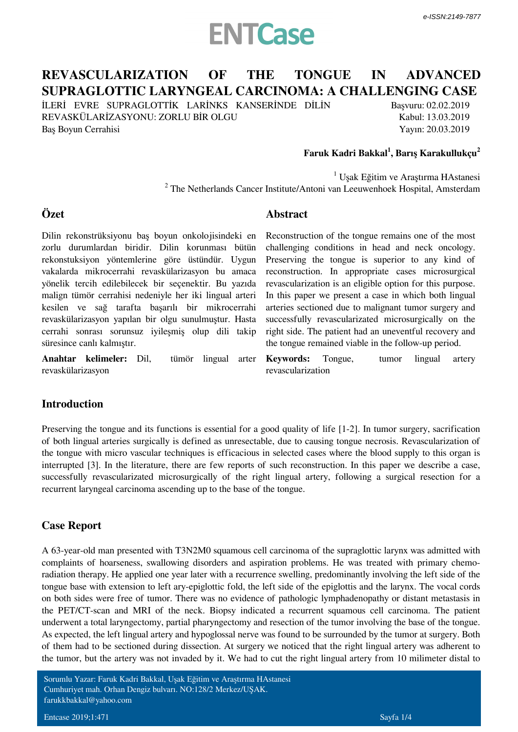## **ENTCase**

### **REVASCULARIZATION OF THE TONGUE IN ADVANCED SUPRAGLOTTIC LARYNGEAL CARCINOMA: A CHALLENGING CASE**

İLERİ EVRE SUPRAGLOTTİK LARİNKS KANSERİNDE DİLİN REVASKÜLARİZASYONU: ZORLU BİR OLGU Baş Boyun Cerrahisi

Başvuru: 02.02.2019 Kabul: 13.03.2019 Yayın: 20.03.2019

#### **Faruk Kadri Bakkal<sup>1</sup> , Barış Karakullukçu<sup>2</sup>**

<sup>1</sup> Uşak Eğitim ve Araştırma HAstanesi  $2$  The Netherlands Cancer Institute/Antoni van Leeuwenhoek Hospital, Amsterdam

**Abstract**

#### **Özet**

Dilin rekonstrüksiyonu baş boyun onkolojisindeki en zorlu durumlardan biridir. Dilin korunması bütün rekonstuksiyon yöntemlerine göre üstündür. Uygun vakalarda mikrocerrahi revaskülarizasyon bu amaca yönelik tercih edilebilecek bir seçenektir. Bu yazıda malign tümör cerrahisi nedeniyle her iki lingual arteri kesilen ve sağ tarafta başarılı bir mikrocerrahi revaskülarizasyon yapılan bir olgu sunulmuştur. Hasta cerrahi sonrası sorunsuz iyileşmiş olup dili takip süresince canlı kalmıştır.

**Anahtar kelimeler:** *Dil, tümör lingual arter revaskülarizasyon*

Reconstruction of the tongue remains one of the most challenging conditions in head and neck oncology. Preserving the tongue is superior to any kind of reconstruction. In appropriate cases microsurgical revascularization is an eligible option for this purpose. In this paper we present a case in which both lingual arteries sectioned due to malignant tumor surgery and successfully revascularizated microsurgically on the right side. The patient had an uneventful recovery and the tongue remained viable in the follow-up period.

**Keywords:** *Tongue, tumor lingual artery revascularization*

#### **Introduction**

Preserving the tongue and its functions is essential for a good quality of life [1-2]. In tumor surgery, sacrification of both lingual arteries surgically is defined as unresectable, due to causing tongue necrosis. Revascularization of the tongue with micro vascular techniques is efficacious in selected cases where the blood supply to this organ is interrupted [3]. In the literature, there are few reports of such reconstruction. In this paper we describe a case, successfully revascularizated microsurgically of the right lingual artery, following a surgical resection for a recurrent laryngeal carcinoma ascending up to the base of the tongue.

#### **Case Report**

A 63-year-old man presented with T3N2M0 squamous cell carcinoma of the supraglottic larynx was admitted with complaints of hoarseness, swallowing disorders and aspiration problems. He was treated with primary chemoradiation therapy. He applied one year later with a recurrence swelling, predominantly involving the left side of the tongue base with extension to left ary-epiglottic fold, the left side of the epiglottis and the larynx. The vocal cords on both sides were free of tumor. There was no evidence of pathologic lymphadenopathy or distant metastasis in the PET/CT-scan and MRI of the neck. Biopsy indicated a recurrent squamous cell carcinoma. The patient underwent a total laryngectomy, partial pharyngectomy and resection of the tumor involving the base of the tongue. As expected, the left lingual artery and hypoglossal nerve was found to be surrounded by the tumor at surgery. Both of them had to be sectioned during dissection. At surgery we noticed that the right lingual artery was adherent to the tumor, but the artery was not invaded by it. We had to cut the right lingual artery from 10 milimeter distal to

Sorumlu Yazar: Faruk Kadri Bakkal, Uşak Eğitim ve Araştırma HAstanesi Cumhuriyet mah. Orhan Dengiz bulvarı. NO:128/2 Merkez/UŞAK. farukkbakkal@yahoo.com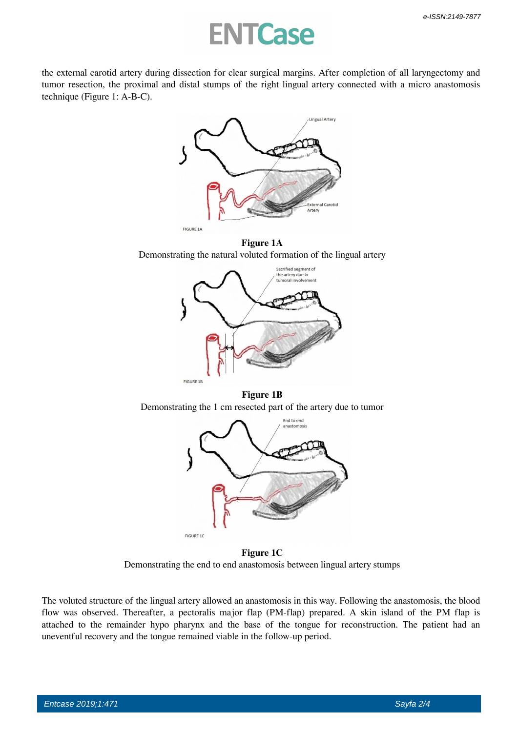### **NTCase**

the external carotid artery during dissection for clear surgical margins. After completion of all laryngectomy and tumor resection, the proximal and distal stumps of the right lingual artery connected with a micro anastomosis technique *(Figure 1: A-B-C)*.



 **Figure 1A** Demonstrating the natural voluted formation of the lingual artery



 **Figure 1B** Demonstrating the 1 cm resected part of the artery due to tumor



 **Figure 1C** Demonstrating the end to end anastomosis between lingual artery stumps

The voluted structure of the lingual artery allowed an anastomosis in this way. Following the anastomosis, the blood flow was observed. Thereafter, a pectoralis major flap (PM-flap) prepared. A skin island of the PM flap is attached to the remainder hypo pharynx and the base of the tongue for reconstruction. The patient had an uneventful recovery and the tongue remained viable in the follow-up period.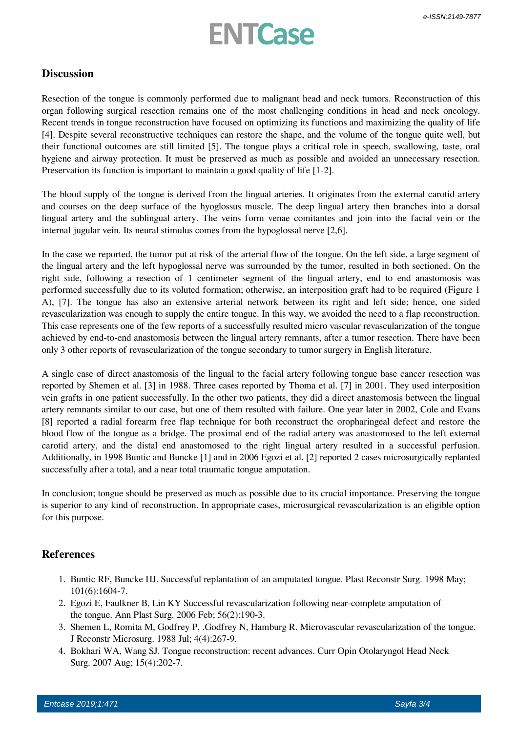# **ENTCase**

#### **Discussion**

Resection of the tongue is commonly performed due to malignant head and neck tumors. Reconstruction of this organ following surgical resection remains one of the most challenging conditions in head and neck oncology. Recent trends in tongue reconstruction have focused on optimizing its functions and maximizing the quality of life [4]. Despite several reconstructive techniques can restore the shape, and the volume of the tongue quite well, but their functional outcomes are still limited [5]. The tongue plays a critical role in speech, swallowing, taste, oral hygiene and airway protection. It must be preserved as much as possible and avoided an unnecessary resection. Preservation its function is important to maintain a good quality of life [1-2].

The blood supply of the tongue is derived from the lingual arteries. It originates from the external carotid artery and courses on the deep surface of the hyoglossus muscle. The deep lingual artery then branches into a dorsal lingual artery and the sublingual artery. The veins form venae comitantes and join into the facial vein or the internal jugular vein. Its neural stimulus comes from the hypoglossal nerve [2,6].

In the case we reported, the tumor put at risk of the arterial flow of the tongue. On the left side, a large segment of the lingual artery and the left hypoglossal nerve was surrounded by the tumor, resulted in both sectioned. On the right side, following a resection of 1 centimeter segment of the lingual artery, end to end anastomosis was performed successfully due to its voluted formation; otherwise, an interposition graft had to be required (Figure 1 A), [7]. The tongue has also an extensive arterial network between its right and left side; hence, one sided revascularization was enough to supply the entire tongue. In this way, we avoided the need to a flap reconstruction. This case represents one of the few reports of a successfully resulted micro vascular revascularization of the tongue achieved by end-to-end anastomosis between the lingual artery remnants, after a tumor resection. There have been only 3 other reports of revascularization of the tongue secondary to tumor surgery in English literature.

A single case of direct anastomosis of the lingual to the facial artery following tongue base cancer resection was reported by Shemen et al. [3] in 1988. Three cases reported by Thoma et al. [7] in 2001. They used interposition vein grafts in one patient successfully. In the other two patients, they did a direct anastomosis between the lingual artery remnants similar to our case, but one of them resulted with failure. One year later in 2002, Cole and Evans [8] reported a radial forearm free flap technique for both reconstruct the oropharingeal defect and restore the blood flow of the tongue as a bridge. The proximal end of the radial artery was anastomosed to the left external carotid artery, and the distal end anastomosed to the right lingual artery resulted in a successful perfusion. Additionally, in 1998 Buntic and Buncke [1] and in 2006 Egozi et al. [2] reported 2 cases microsurgically replanted successfully after a total, and a near total traumatic tongue amputation.

In conclusion; tongue should be preserved as much as possible due to its crucial importance. Preserving the tongue is superior to any kind of reconstruction. In appropriate cases, microsurgical revascularization is an eligible option for this purpose.

#### **References**

- 1. Buntic RF, Buncke HJ. Successful replantation of an amputated tongue. Plast Reconstr Surg. 1998 May; 101(6):1604-7.
- 2. Egozi E, Faulkner B, Lin KY Successful revascularization following near-complete amputation of the tongue. Ann Plast Surg. 2006 Feb; 56(2):190-3.
- 3. Shemen L, Romita M, Godfrey P, .Godfrey N, Hamburg R. Microvascular revascularization of the tongue. J Reconstr Microsurg. 1988 Jul; 4(4):267-9.
- 4. Bokhari WA, Wang SJ. Tongue reconstruction: recent advances. Curr Opin Otolaryngol Head Neck Surg. 2007 Aug; 15(4):202-7.